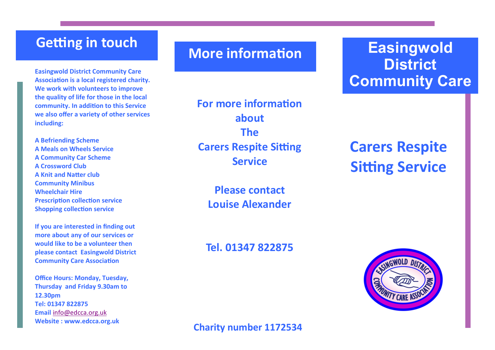## **Getting in touch**

**Easingwold District Community Care Association is a local registered charity. We work with volunteers to improve the quality of life for those in the local community. In addition to this Service we also offer a variety of other services including:** 

**A Befriending Scheme A Meals on Wheels Service A Community Car Scheme A Crossword Club A Knit and Natter club Community Minibus Wheelchair Hire Prescription collection service Shopping collection service**

**If you are interested in finding out more about any of our services or would like to be a volunteer then please contact Easingwold District Community Care Association**

**Office Hours: Monday, Tuesday, Thursday and Friday 9.30am to 12.30pm Tel: 01347 822875 Email** [info@edcca.org.uk](mailto:info@edcca.org.uk) **Website : www.edcca.org.uk**

## **More information**

**For more information about The Carers Respite Sitting Service**

> **Please contact Louise Alexander**

### **Tel. 01347 822875**

# **Easingwold District Community Care**

# **Carers Respite Sitting Service**



**Charity number 1172534**